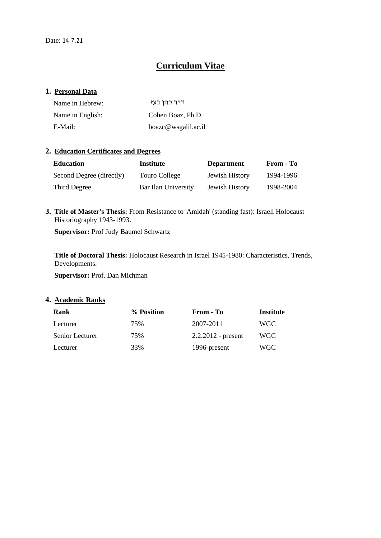# **Curriculum Vitae**

### **1. Personal Data**

| Name in Hebrew:  | דייר כהו בעז        |
|------------------|---------------------|
| Name in English: | Cohen Boaz, Ph.D.   |
| E-Mail:          | boazc@wsgalil.ac.il |

## **2. Education Certificates and Degrees**

| <b>Education</b>         | Institute           | <b>Department</b> | From - To |
|--------------------------|---------------------|-------------------|-----------|
| Second Degree (directly) | Touro College       | Jewish History    | 1994-1996 |
| Third Degree             | Bar Ilan University | Jewish History    | 1998-2004 |

**3. Title of Master's Thesis:** From Resistance to 'Amidah' (standing fast): Israeli Holocaust Historiography 1943-1993.

**Supervisor:** Prof Judy Baumel Schwartz

**Title of Doctoral Thesis:** Holocaust Research in Israel 1945-1980: Characteristics, Trends, Developments.

**Supervisor:** Prof. Dan Michman

### **4. Academic Ranks**

| Rank            | % Position | From - To            | Institute |
|-----------------|------------|----------------------|-----------|
| Lecturer        | 75%        | 2007-2011            | WGC.      |
| Senior Lecturer | 75%        | $2.2.2012$ - present | WGC -     |
| Lecturer        | 33%        | 1996-present         | WGC       |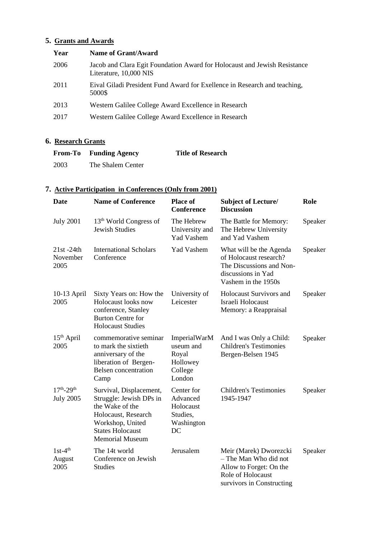# **5. Grants and Awards**

| <b>Name of Grant/Award</b>                                                                          |
|-----------------------------------------------------------------------------------------------------|
| Jacob and Clara Egit Foundation Award for Holocaust and Jewish Resistance<br>Literature, 10,000 NIS |
| Eival Giladi President Fund Award for Exellence in Research and teaching,<br>5000\$                 |
| Western Galilee College Award Excellence in Research                                                |
| Western Galilee College Award Excellence in Research                                                |
|                                                                                                     |

# **6. Research Grants**

|      | <b>From-To</b> Funding Agency | <b>Title of Research</b> |
|------|-------------------------------|--------------------------|
| 2003 | The Shalem Center             |                          |

# **7. Active Participation in Conferences (Only from 2001)**

| Date                                    | <b>Name of Conference</b>                                                                                                                                             | <b>Place of</b><br><b>Conference</b>                                | <b>Subject of Lecture/</b><br><b>Discussion</b>                                                                              | Role    |
|-----------------------------------------|-----------------------------------------------------------------------------------------------------------------------------------------------------------------------|---------------------------------------------------------------------|------------------------------------------------------------------------------------------------------------------------------|---------|
| <b>July 2001</b>                        | 13 <sup>th</sup> World Congress of<br><b>Jewish Studies</b>                                                                                                           | The Hebrew<br>University and<br><b>Yad Vashem</b>                   | The Battle for Memory:<br>The Hebrew University<br>and Yad Vashem                                                            | Speaker |
| $21st - 24th$<br>November<br>2005       | <b>International Scholars</b><br>Conference                                                                                                                           | <b>Yad Vashem</b>                                                   | What will be the Agenda<br>of Holocaust research?<br>The Discussions and Non-<br>discussions in Yad<br>Vashem in the 1950s   | Speaker |
| $10-13$ April<br>2005                   | Sixty Years on: How the<br>Holocaust looks now<br>conference, Stanley<br><b>Burton Centre for</b><br><b>Holocaust Studies</b>                                         | University of<br>Leicester                                          | <b>Holocaust Survivors and</b><br>Israeli Holocaust<br>Memory: a Reappraisal                                                 | Speaker |
| 15 <sup>th</sup> April<br>2005          | commemorative seminar<br>to mark the sixtieth<br>anniversary of the<br>liberation of Bergen-<br><b>Belsen</b> concentration<br>Camp                                   | ImperialWarM<br>useum and<br>Royal<br>Hollowey<br>College<br>London | And I was Only a Child:<br><b>Children's Testimonies</b><br>Bergen-Belsen 1945                                               | Speaker |
| $17^{th} - 29^{th}$<br><b>July 2005</b> | Survival, Displacement,<br>Struggle: Jewish DPs in<br>the Wake of the<br>Holocaust, Research<br>Workshop, United<br><b>States Holocaust</b><br><b>Memorial Museum</b> | Center for<br>Advanced<br>Holocaust<br>Studies,<br>Washington<br>DC | <b>Children's Testimonies</b><br>1945-1947                                                                                   | Speaker |
| $1st-4th$<br>August<br>2005             | The 14t world<br>Conference on Jewish<br><b>Studies</b>                                                                                                               | Jerusalem                                                           | Meir (Marek) Dworezcki<br>- The Man Who did not<br>Allow to Forget: On the<br>Role of Holocaust<br>survivors in Constructing | Speaker |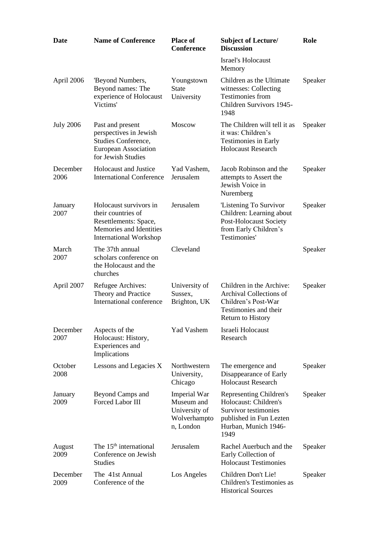| <b>Date</b>      | <b>Name of Conference</b>                                                                                                         | <b>Place of</b><br><b>Conference</b>                                            | <b>Subject of Lecture/</b><br><b>Discussion</b>                                                                                     | Role    |
|------------------|-----------------------------------------------------------------------------------------------------------------------------------|---------------------------------------------------------------------------------|-------------------------------------------------------------------------------------------------------------------------------------|---------|
|                  |                                                                                                                                   |                                                                                 | <b>Israel's Holocaust</b><br>Memory                                                                                                 |         |
| April 2006       | 'Beyond Numbers,<br>Beyond names: The<br>experience of Holocaust<br>Victims'                                                      | Youngstown<br><b>State</b><br>University                                        | Children as the Ultimate<br>witnesses: Collecting<br><b>Testimonies from</b><br>Children Survivors 1945-<br>1948                    | Speaker |
| <b>July 2006</b> | Past and present<br>perspectives in Jewish<br>Studies Conference,<br><b>European Association</b><br>for Jewish Studies            | <b>Moscow</b>                                                                   | The Children will tell it as<br>it was: Children's<br><b>Testimonies in Early</b><br><b>Holocaust Research</b>                      | Speaker |
| December<br>2006 | <b>Holocaust and Justice</b><br><b>International Conference</b>                                                                   | Yad Vashem,<br>Jerusalem                                                        | Jacob Robinson and the<br>attempts to Assert the<br>Jewish Voice in<br>Nuremberg                                                    | Speaker |
| January<br>2007  | Holocaust survivors in<br>their countries of<br>Resettlements: Space,<br>Memories and Identities<br><b>International Workshop</b> | Jerusalem                                                                       | 'Listening To Survivor<br>Children: Learning about<br><b>Post-Holocaust Society</b><br>from Early Children's<br>Testimonies'        | Speaker |
| March<br>2007    | The 37th annual<br>scholars conference on<br>the Holocaust and the<br>churches                                                    | Cleveland                                                                       |                                                                                                                                     | Speaker |
| April 2007       | Refugee Archives:<br>Theory and Practice<br>International conference                                                              | University of<br>Sussex,<br>Brighton, UK                                        | Children in the Archive:<br>Archival Collections of<br>Children's Post-War<br>Testimonies and their<br><b>Return to History</b>     | Speaker |
| December<br>2007 | Aspects of the<br>Holocaust: History,<br>Experiences and<br>Implications                                                          | <b>Yad Vashem</b>                                                               | Israeli Holocaust<br>Research                                                                                                       |         |
| October<br>2008  | Lessons and Legacies X                                                                                                            | Northwestern<br>University,<br>Chicago                                          | The emergence and<br>Disappearance of Early<br><b>Holocaust Research</b>                                                            | Speaker |
| January<br>2009  | Beyond Camps and<br><b>Forced Labor III</b>                                                                                       | <b>Imperial War</b><br>Museum and<br>University of<br>Wolverhampto<br>n, London | Representing Children's<br>Holocaust: Children's<br>Survivor testimonies<br>published in Fun Lezten<br>Hurban, Munich 1946-<br>1949 | Speaker |
| August<br>2009   | The 15 <sup>th</sup> international<br>Conference on Jewish<br><b>Studies</b>                                                      | Jerusalem                                                                       | Rachel Auerbuch and the<br>Early Collection of<br><b>Holocaust Testimonies</b>                                                      | Speaker |
| December<br>2009 | The 41st Annual<br>Conference of the                                                                                              | Los Angeles                                                                     | Children Don't Lie!<br>Children's Testimonies as<br><b>Historical Sources</b>                                                       | Speaker |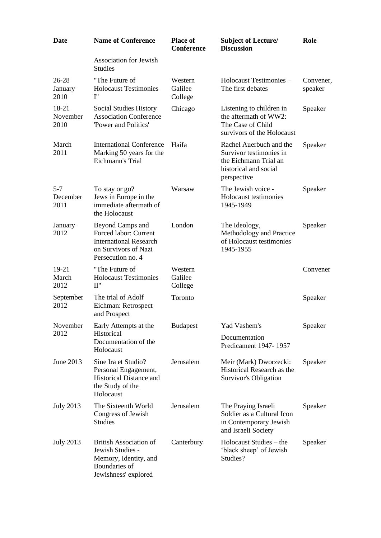| <b>Date</b>                  | <b>Name of Conference</b>                                                                                               | <b>Place of</b><br><b>Conference</b> | <b>Subject of Lecture/</b><br><b>Discussion</b>                                                                     | Role                 |
|------------------------------|-------------------------------------------------------------------------------------------------------------------------|--------------------------------------|---------------------------------------------------------------------------------------------------------------------|----------------------|
|                              | <b>Association for Jewish</b><br><b>Studies</b>                                                                         |                                      |                                                                                                                     |                      |
| $26 - 28$<br>January<br>2010 | "The Future of<br><b>Holocaust Testimonies</b><br>$\mathbf{I}$ "                                                        | Western<br>Galilee<br>College        | Holocaust Testimonies -<br>The first debates                                                                        | Convener,<br>speaker |
| 18-21<br>November<br>2010    | Social Studies History<br><b>Association Conference</b><br>'Power and Politics'                                         | Chicago                              | Listening to children in<br>the aftermath of WW2:<br>The Case of Child<br>survivors of the Holocaust                | Speaker              |
| March<br>2011                | <b>International Conference</b><br>Marking 50 years for the<br>Eichmann's Trial                                         | Haifa                                | Rachel Auerbuch and the<br>Survivor testimonies in<br>the Eichmann Trial an<br>historical and social<br>perspective | Speaker              |
| $5 - 7$<br>December<br>2011  | To stay or go?<br>Jews in Europe in the<br>immediate aftermath of<br>the Holocaust                                      | Warsaw                               | The Jewish voice -<br>Holocaust testimonies<br>1945-1949                                                            | Speaker              |
| January<br>2012              | Beyond Camps and<br>Forced labor: Current<br><b>International Research</b><br>on Survivors of Nazi<br>Persecution no. 4 | London                               | The Ideology,<br>Methodology and Practice<br>of Holocaust testimonies<br>1945-1955                                  | Speaker              |
| $19-21$<br>March<br>2012     | "The Future of<br><b>Holocaust Testimonies</b><br>II"                                                                   | Western<br>Galilee<br>College        |                                                                                                                     | Convener             |
| September<br>2012            | The trial of Adolf<br>Eichman: Retrospect<br>and Prospect                                                               | Toronto                              |                                                                                                                     | Speaker              |
| November<br>2012             | Early Attempts at the<br>Historical<br>Documentation of the<br>Holocaust                                                | <b>Budapest</b>                      | Yad Vashem's<br>Documentation<br>Predicament 1947-1957                                                              | Speaker              |
| June 2013                    | Sine Ira et Studio?<br>Personal Engagement,<br>Historical Distance and<br>the Study of the<br>Holocaust                 | Jerusalem                            | Meir (Mark) Dworzecki:<br>Historical Research as the<br>Survivor's Obligation                                       | Speaker              |
| <b>July 2013</b>             | The Sixteenth World<br>Congress of Jewish<br><b>Studies</b>                                                             | Jerusalem                            | The Praying Israeli<br>Soldier as a Cultural Icon<br>in Contemporary Jewish<br>and Israeli Society                  | Speaker              |
| <b>July 2013</b>             | <b>British Association of</b><br>Jewish Studies -<br>Memory, Identity, and<br>Boundaries of<br>Jewishness' explored     | Canterbury                           | Holocaust Studies – the<br>'black sheep' of Jewish<br>Studies?                                                      | Speaker              |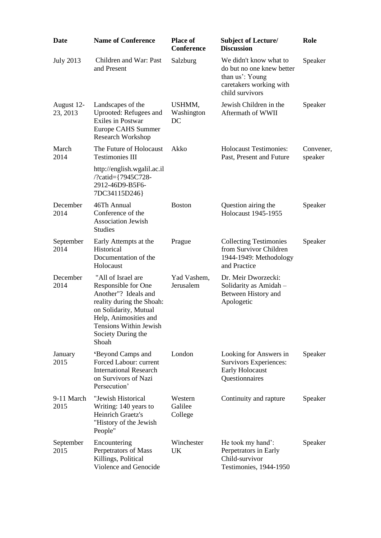| <b>Date</b>            | <b>Name of Conference</b>                                                                                                                                                                                 | <b>Place of</b><br><b>Conference</b> | <b>Subject of Lecture/</b><br><b>Discussion</b>                                                                      | Role                 |
|------------------------|-----------------------------------------------------------------------------------------------------------------------------------------------------------------------------------------------------------|--------------------------------------|----------------------------------------------------------------------------------------------------------------------|----------------------|
| <b>July 2013</b>       | Children and War: Past<br>and Present                                                                                                                                                                     | Salzburg                             | We didn't know what to<br>do but no one knew better<br>than us': Young<br>caretakers working with<br>child survivors | Speaker              |
| August 12-<br>23, 2013 | Landscapes of the<br>Uprooted: Refugees and<br><b>Exiles in Postwar</b><br>Europe CAHS Summer<br><b>Research Workshop</b>                                                                                 | USHMM,<br>Washington<br>DC           | Jewish Children in the<br>Aftermath of WWII                                                                          | Speaker              |
| March<br>2014          | The Future of Holocaust<br><b>Testimonies III</b>                                                                                                                                                         | Akko                                 | <b>Holocaust Testimonies:</b><br>Past, Present and Future                                                            | Convener,<br>speaker |
|                        | http://english.wgalil.ac.il<br>/?catid={7945C728-<br>2912-46D9-B5F6-<br>7DC34115D246}                                                                                                                     |                                      |                                                                                                                      |                      |
| December<br>2014       | 46Th Annual<br>Conference of the<br><b>Association Jewish</b><br><b>Studies</b>                                                                                                                           | <b>Boston</b>                        | Question airing the<br><b>Holocaust 1945-1955</b>                                                                    | Speaker              |
| September<br>2014      | Early Attempts at the<br>Historical<br>Documentation of the<br>Holocaust                                                                                                                                  | Prague                               | <b>Collecting Testimonies</b><br>from Survivor Children<br>1944-1949: Methodology<br>and Practice                    | Speaker              |
| December<br>2014       | "All of Israel are<br>Responsible for One<br>Another"? Ideals and<br>reality during the Shoah:<br>on Solidarity, Mutual<br>Help, Animosities and<br>Tensions Within Jewish<br>Society During the<br>Shoah | Yad Vashem,<br>Jerusalem             | Dr. Meir Dworzecki:<br>Solidarity as Amidah -<br>Between History and<br>Apologetic                                   |                      |
| January<br>2015        | 'Beyond Camps and<br>Forced Labour: current<br><b>International Research</b><br>on Survivors of Nazi<br>Persecution'                                                                                      | London                               | Looking for Answers in<br>Survivors Experiences:<br>Early Holocaust<br>Questionnaires                                | Speaker              |
| 9-11 March<br>2015     | "Jewish Historical<br>Writing: 140 years to<br>Heinrich Graetz's<br>"History of the Jewish<br>People"                                                                                                     | Western<br>Galilee<br>College        | Continuity and rapture                                                                                               | Speaker              |
| September<br>2015      | Encountering<br>Perpetrators of Mass<br>Killings, Political<br>Violence and Genocide                                                                                                                      | Winchester<br>UK                     | He took my hand':<br>Perpetrators in Early<br>Child-survivor<br>Testimonies, 1944-1950                               | Speaker              |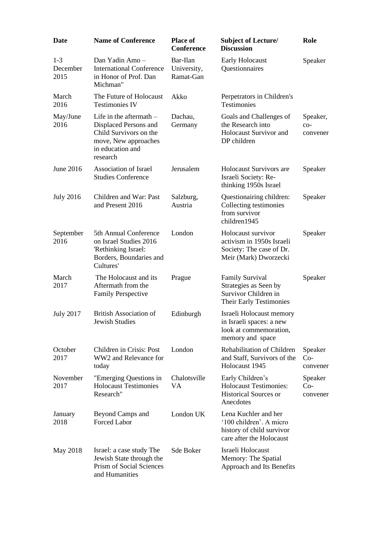| <b>Date</b>                 | <b>Name of Conference</b>                                                                                                            | <b>Place of</b><br><b>Conference</b> | <b>Subject of Lecture/</b><br><b>Discussion</b>                                                          | Role                          |
|-----------------------------|--------------------------------------------------------------------------------------------------------------------------------------|--------------------------------------|----------------------------------------------------------------------------------------------------------|-------------------------------|
| $1 - 3$<br>December<br>2015 | Dan Yadin Amo-<br><b>International Conference</b><br>in Honor of Prof. Dan<br>Michman"                                               | Bar-Ilan<br>University,<br>Ramat-Gan | Early Holocaust<br>Questionnaires                                                                        | Speaker                       |
| March<br>2016               | The Future of Holocaust<br><b>Testimonies IV</b>                                                                                     | Akko                                 | Perpetrators in Children's<br><b>Testimonies</b>                                                         |                               |
| May/June<br>2016            | Life in the aftermath $-$<br>Displaced Persons and<br>Child Survivors on the<br>move, New approaches<br>in education and<br>research | Dachau,<br>Germany                   | Goals and Challenges of<br>the Research into<br><b>Holocaust Survivor and</b><br>DP children             | Speaker,<br>$CO-$<br>convener |
| June 2016                   | Association of Israel<br><b>Studies Conference</b>                                                                                   | Jerusalem                            | <b>Holocaust Survivors are</b><br>Israeli Society: Re-<br>thinking 1950s Israel                          | Speaker                       |
| <b>July 2016</b>            | Children and War: Past<br>and Present 2016                                                                                           | Salzburg,<br>Austria                 | Questionairing children:<br>Collecting testimonies<br>from survivor<br>children1945                      | Speaker                       |
| September<br>2016           | 5th Annual Conference<br>on Israel Studies 2016<br>'Rethinking Israel:<br>Borders, Boundaries and<br>Cultures'                       | London                               | Holocaust survivor<br>activism in 1950s Israeli<br>Society: The case of Dr.<br>Meir (Mark) Dworzecki     | Speaker                       |
| March<br>2017               | The Holocaust and its<br>Aftermath from the<br><b>Family Perspective</b>                                                             | Prague                               | <b>Family Survival</b><br>Strategies as Seen by<br>Survivor Children in<br>Their Early Testimonies       | Speaker                       |
| <b>July 2017</b>            | <b>British Association of</b><br>Jewish Studies                                                                                      | Edinburgh                            | Israeli Holocaust memory<br>in Israeli spaces: a new<br>look at commemoration,<br>memory and space       |                               |
| October<br>2017             | Children in Crisis: Post<br>WW2 and Relevance for<br>today                                                                           | London                               | Rehabilitation of Children<br>and Staff, Survivors of the<br>Holocaust 1945                              | Speaker<br>Co-<br>convener    |
| November<br>2017            | "Emerging Questions in<br><b>Holocaust Testimonies</b><br>Research"                                                                  | Chalotsville<br>VA                   | Early Children's<br><b>Holocaust Testimonies:</b><br><b>Historical Sources or</b><br>Anecdotes           | Speaker<br>$Co-$<br>convener  |
| January<br>2018             | Beyond Camps and<br>Forced Labor                                                                                                     | London UK                            | Lena Kuchler and her<br>'100 children'. A micro<br>history of child survivor<br>care after the Holocaust |                               |
| May 2018                    | Israel: a case study The<br>Jewish State through the<br>Prism of Social Sciences<br>and Humanities                                   | Sde Boker                            | Israeli Holocaust<br>Memory: The Spatial<br>Approach and Its Benefits                                    |                               |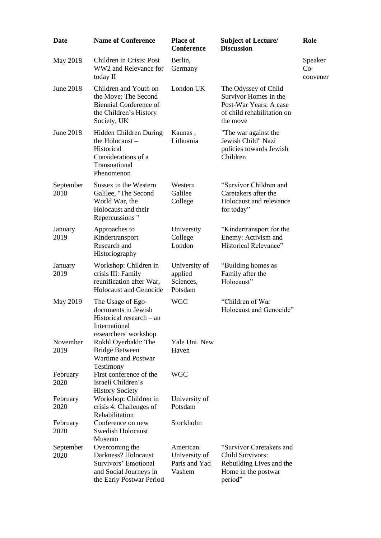| Date              | <b>Name of Conference</b>                                                                                               | <b>Place of</b><br><b>Conference</b>                 | <b>Subject of Lecture/</b><br><b>Discussion</b>                                                                   | Role                         |
|-------------------|-------------------------------------------------------------------------------------------------------------------------|------------------------------------------------------|-------------------------------------------------------------------------------------------------------------------|------------------------------|
| May 2018          | Children in Crisis: Post<br>WW2 and Relevance for<br>today II                                                           | Berlin,<br>Germany                                   |                                                                                                                   | Speaker<br>$Co-$<br>convener |
| June 2018         | Children and Youth on<br>the Move: The Second<br><b>Biennial Conference of</b><br>the Children's History<br>Society, UK | London UK                                            | The Odyssey of Child<br>Survivor Homes in the<br>Post-War Years: A case<br>of child rehabilitation on<br>the move |                              |
| <b>June 2018</b>  | Hidden Children During<br>the Holocaust-<br>Historical<br>Considerations of a<br>Transnational<br>Phenomenon            | Kaunas,<br>Lithuania                                 | "The war against the<br>Jewish Child" Nazi<br>policies towards Jewish<br>Children                                 |                              |
| September<br>2018 | Sussex in the Western<br>Galilee, "The Second<br>World War, the<br>Holocaust and their<br>Repercussions"                | Western<br>Galilee<br>College                        | "Survivor Children and<br>Caretakers after the<br>Holocaust and relevance<br>for today"                           |                              |
| January<br>2019   | Approaches to<br>Kindertransport<br>Research and<br>Historiography                                                      | University<br>College<br>London                      | "Kindertransport for the<br>Enemy: Activism and<br>Historical Relevance"                                          |                              |
| January<br>2019   | Workshop: Children in<br>crisis III: Family<br>reunification after War,<br><b>Holocaust and Genocide</b>                | University of<br>applied<br>Sciences,<br>Potsdam     | "Building homes as<br>Family after the<br>Holocaust"                                                              |                              |
| May 2019          | The Usage of Ego-<br>documents in Jewish<br>Historical research $-$ an<br>International                                 | <b>WGC</b>                                           | "Children of War<br>Holocaust and Genocide"                                                                       |                              |
| November<br>2019  | researchers' workshop<br>Rokhl Oyerbakh: The<br><b>Bridge Between</b><br>Wartime and Postwar<br>Testimony               | Yale Uni. New<br>Haven                               |                                                                                                                   |                              |
| February<br>2020  | First conference of the<br>Israeli Children's<br><b>History Society</b>                                                 | <b>WGC</b>                                           |                                                                                                                   |                              |
| February<br>2020  | Workshop: Children in<br>crisis 4: Challenges of<br>Rehabilitation                                                      | University of<br>Potsdam                             |                                                                                                                   |                              |
| February<br>2020  | Conference on new<br><b>Swedish Holocaust</b><br>Museum                                                                 | Stockholm                                            |                                                                                                                   |                              |
| September<br>2020 | Overcoming the<br>Darkness? Holocaust<br>Survivors' Emotional<br>and Social Journeys in<br>the Early Postwar Period     | American<br>University of<br>Paris and Yad<br>Vashem | "Survivor Caretakers and<br>Child Survivors:<br>Rebuilding Lives and the<br>Home in the postwar<br>period"        |                              |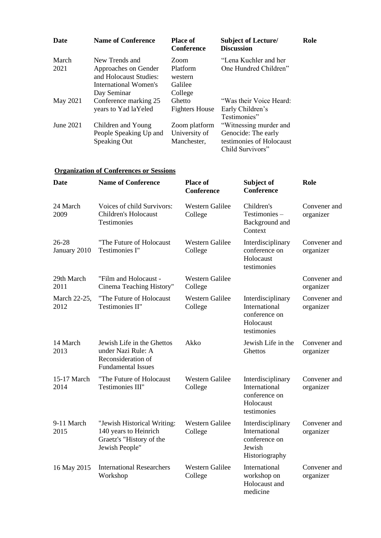| Date          | <b>Name of Conference</b>                                                                                | <b>Place of</b><br><b>Conference</b>              | <b>Subject of Lecture/</b><br><b>Discussion</b>                                               | Role |
|---------------|----------------------------------------------------------------------------------------------------------|---------------------------------------------------|-----------------------------------------------------------------------------------------------|------|
| March<br>2021 | New Trends and<br>Approaches on Gender<br>and Holocaust Studies:<br>International Women's<br>Day Seminar | Zoom<br>Platform<br>western<br>Galilee<br>College | "Lena Kuchler and her<br>One Hundred Children"                                                |      |
| May 2021      | Conference marking 25<br>years to Yad laYeled                                                            | Ghetto<br><b>Fighters House</b>                   | "Was their Voice Heard:<br>Early Children's<br>Testimonies"                                   |      |
| June 2021     | Children and Young<br>People Speaking Up and<br><b>Speaking Out</b>                                      | Zoom platform<br>University of<br>Manchester,     | "Witnessing murder and<br>Genocide: The early<br>testimonies of Holocaust<br>Child Survivors" |      |

## **Organization of Conferences or Sessions**

| <b>Date</b>               | <b>Name of Conference</b>                                                                           | <b>Place of</b><br><b>Conference</b> | Subject of<br><b>Conference</b>                                                 | Role                      |
|---------------------------|-----------------------------------------------------------------------------------------------------|--------------------------------------|---------------------------------------------------------------------------------|---------------------------|
| 24 March<br>2009          | Voices of child Survivors:<br><b>Children's Holocaust</b><br>Testimonies                            | <b>Western Galilee</b><br>College    | Children's<br>Testimonies-<br>Background and<br>Context                         | Convener and<br>organizer |
| $26 - 28$<br>January 2010 | "The Future of Holocaust<br>Testimonies I"                                                          | <b>Western Galilee</b><br>College    | Interdisciplinary<br>conference on<br>Holocaust<br>testimonies                  | Convener and<br>organizer |
| 29th March<br>2011        | "Film and Holocaust -<br>Cinema Teaching History"                                                   | <b>Western Galilee</b><br>College    |                                                                                 | Convener and<br>organizer |
| March 22-25,<br>2012      | "The Future of Holocaust<br>Testimonies II"                                                         | Western Galilee<br>College           | Interdisciplinary<br>International<br>conference on<br>Holocaust<br>testimonies | Convener and<br>organizer |
| 14 March<br>2013          | Jewish Life in the Ghettos<br>under Nazi Rule: A<br>Reconsideration of<br><b>Fundamental Issues</b> | Akko                                 | Jewish Life in the<br>Ghettos                                                   | Convener and<br>organizer |
| 15-17 March<br>2014       | "The Future of Holocaust<br>Testimonies III"                                                        | Western Galilee<br>College           | Interdisciplinary<br>International<br>conference on<br>Holocaust<br>testimonies | Convener and<br>organizer |
| 9-11 March<br>2015        | "Jewish Historical Writing:<br>140 years to Heinrich<br>Graetz's "History of the<br>Jewish People"  | <b>Western Galilee</b><br>College    | Interdisciplinary<br>International<br>conference on<br>Jewish<br>Historiography | Convener and<br>organizer |
| 16 May 2015               | <b>International Researchers</b><br>Workshop                                                        | Western Galilee<br>College           | International<br>workshop on<br>Holocaust and<br>medicine                       | Convener and<br>organizer |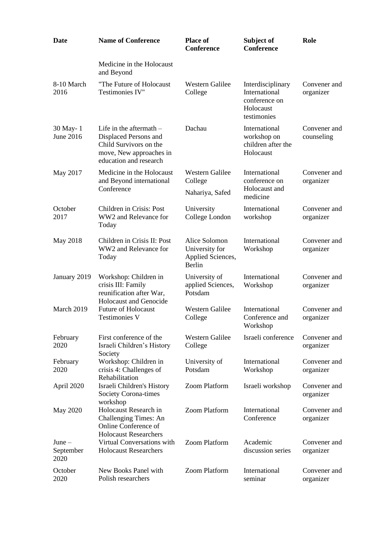| <b>Date</b>                   | <b>Name of Conference</b>                                                                                                         | <b>Place of</b><br><b>Conference</b>                           | Subject of<br>Conference                                                        | Role                       |
|-------------------------------|-----------------------------------------------------------------------------------------------------------------------------------|----------------------------------------------------------------|---------------------------------------------------------------------------------|----------------------------|
|                               | Medicine in the Holocaust<br>and Beyond                                                                                           |                                                                |                                                                                 |                            |
| 8-10 March<br>2016            | "The Future of Holocaust<br>Testimonies IV"                                                                                       | <b>Western Galilee</b><br>College                              | Interdisciplinary<br>International<br>conference on<br>Holocaust<br>testimonies | Convener and<br>organizer  |
| 30 May-1<br><b>June 2016</b>  | Life in the aftermath $-$<br>Displaced Persons and<br>Child Survivors on the<br>move, New approaches in<br>education and research | Dachau                                                         | International<br>workshop on<br>children after the<br>Holocaust                 | Convener and<br>counseling |
| May 2017                      | Medicine in the Holocaust<br>and Beyond international<br>Conference                                                               | <b>Western Galilee</b><br>College<br>Nahariya, Safed           | International<br>conference on<br>Holocaust and<br>medicine                     | Convener and<br>organizer  |
| October<br>2017               | Children in Crisis: Post<br>WW2 and Relevance for<br>Today                                                                        | University<br>College London                                   | International<br>workshop                                                       | Convener and<br>organizer  |
| May 2018                      | Children in Crisis II: Post<br>WW2 and Relevance for<br>Today                                                                     | Alice Solomon<br>University for<br>Applied Sciences,<br>Berlin | International<br>Workshop                                                       | Convener and<br>organizer  |
| January 2019                  | Workshop: Children in<br>crisis III: Family<br>reunification after War,<br><b>Holocaust and Genocide</b>                          | University of<br>applied Sciences,<br>Potsdam                  | International<br>Workshop                                                       | Convener and<br>organizer  |
| March 2019                    | <b>Future of Holocaust</b><br><b>Testimonies V</b>                                                                                | <b>Western Galilee</b><br>College                              | International<br>Conference and<br>Workshop                                     | Convener and<br>organizer  |
| February<br>2020              | First conference of the<br>Israeli Children's History<br>Society                                                                  | <b>Western Galilee</b><br>College                              | Israeli conference                                                              | Convener and<br>organizer  |
| February<br>2020              | Workshop: Children in<br>crisis 4: Challenges of<br>Rehabilitation                                                                | University of<br>Potsdam                                       | International<br>Workshop                                                       | Convener and<br>organizer  |
| April 2020                    | Israeli Children's History<br>Society Corona-times<br>workshop                                                                    | <b>Zoom Platform</b>                                           | Israeli workshop                                                                | Convener and<br>organizer  |
| May 2020                      | Holocaust Research in<br>Challenging Times: An<br>Online Conference of<br><b>Holocaust Researchers</b>                            | <b>Zoom Platform</b>                                           | International<br>Conference                                                     | Convener and<br>organizer  |
| $June -$<br>September<br>2020 | Virtual Conversations with<br><b>Holocaust Researchers</b>                                                                        | <b>Zoom Platform</b>                                           | Academic<br>discussion series                                                   | Convener and<br>organizer  |
| October<br>2020               | New Books Panel with<br>Polish researchers                                                                                        | <b>Zoom Platform</b>                                           | International<br>seminar                                                        | Convener and<br>organizer  |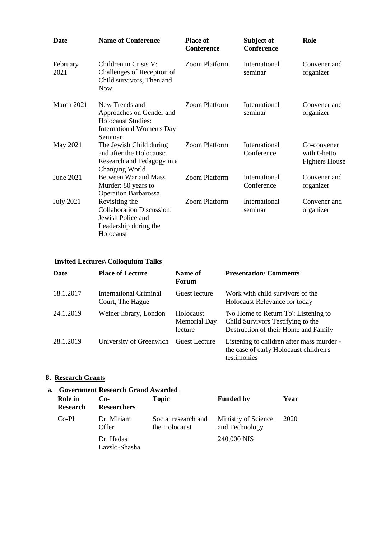| <b>Date</b>      | <b>Name of Conference</b>                                                                                       | <b>Place of</b><br>Conference | Subject of<br><b>Conference</b> | Role                                                |
|------------------|-----------------------------------------------------------------------------------------------------------------|-------------------------------|---------------------------------|-----------------------------------------------------|
| February<br>2021 | Children in Crisis V:<br>Challenges of Reception of<br>Child survivors, Then and<br>Now.                        | <b>Zoom Platform</b>          | <b>International</b><br>seminar | Convener and<br>organizer                           |
| March 2021       | New Trends and<br>Approaches on Gender and<br><b>Holocaust Studies:</b><br>International Women's Day<br>Seminar | Zoom Platform                 | International<br>seminar        | Convener and<br>organizer                           |
| May 2021         | The Jewish Child during<br>and after the Holocaust:<br>Research and Pedagogy in a<br>Changing World             | <b>Zoom Platform</b>          | International<br>Conference     | Co-convener<br>with Ghetto<br><b>Fighters House</b> |
| June 2021        | Between War and Mass<br>Murder: 80 years to<br><b>Operation Barbarossa</b>                                      | <b>Zoom Platform</b>          | International<br>Conference     | Convener and<br>organizer                           |
| <b>July 2021</b> | Revisiting the<br><b>Collaboration Discussion:</b><br>Jewish Police and<br>Leadership during the<br>Holocaust   | <b>Zoom Platform</b>          | International<br>seminar        | Convener and<br>organizer                           |

## **Invited Lectures\ Colloquium Talks**

| <b>Date</b> | <b>Place of Lecture</b>                    | Name of<br>Forum                            | <b>Presentation/Comments</b>                                                                                      |
|-------------|--------------------------------------------|---------------------------------------------|-------------------------------------------------------------------------------------------------------------------|
| 18.1.2017   | International Criminal<br>Court, The Hague | Guest lecture                               | Work with child survivors of the<br><b>Holocaust Relevance for today</b>                                          |
| 24.1.2019   | Weiner library, London                     | Holocaust<br><b>Memorial Day</b><br>lecture | 'No Home to Return To': Listening to<br>Child Survivors Testifying to the<br>Destruction of their Home and Family |
| 28.1.2019   | University of Greenwich Guest Lecture      |                                             | Listening to children after mass murder -<br>the case of early Holocaust children's<br>testimonies                |

# **8. Research Grants**

# **a. Government Research Grand Awarded**

| Role in<br><b>Research</b> | $Co-$<br><b>Researchers</b> | <b>Topic</b>                         | <b>Funded by</b>                      | Year |
|----------------------------|-----------------------------|--------------------------------------|---------------------------------------|------|
| $Co-PI$                    | Dr. Miriam<br>Offer         | Social research and<br>the Holocaust | Ministry of Science<br>and Technology | 2020 |
|                            | Dr. Hadas<br>Lavski-Shasha  |                                      | 240,000 NIS                           |      |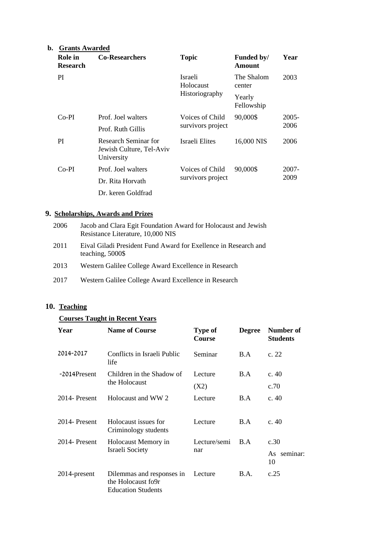## **b. Grants Awarded**

| Role in<br><b>Research</b> | <b>Co-Researchers</b>                                          | <b>Topic</b>                         | Funded by/<br>Amount | Year  |
|----------------------------|----------------------------------------------------------------|--------------------------------------|----------------------|-------|
| PI                         | <b>Israeli</b><br>Holocaust                                    |                                      | The Shalom<br>center | 2003  |
|                            | Historiography                                                 |                                      | Yearly<br>Fellowship |       |
| $Co-PI$                    | Prof. Joel walters                                             | Voices of Child<br>survivors project | 90,000\$             | 2005- |
|                            | Prof. Ruth Gillis                                              |                                      |                      | 2006  |
| PI                         | Research Seminar for<br>Jewish Culture, Tel-Aviv<br>University | Israeli Elites                       | 16,000 NIS           | 2006  |
| $Co-PI$                    | Prof. Joel walters                                             | Voices of Child                      | 90,000\$             | 2007- |
|                            | Dr. Rita Horvath                                               | survivors project                    |                      | 2009  |
|                            | Dr. keren Goldfrad                                             |                                      |                      |       |

## **9. Scholarships, Awards and Prizes**

| 2006 | Jacob and Clara Egit Foundation Award for Holocaust and Jewish<br>Resistance Literature, 10,000 NIS |
|------|-----------------------------------------------------------------------------------------------------|
| 2011 | Eival Giladi President Fund Award for Exellence in Research and<br>teaching, 5000\$                 |

- 2013 Western Galilee College Award Excellence in Research
- 2017 Western Galilee College Award Excellence in Research

# **10. Teaching**

## **Courses Taught in Recent Years**

| Year          | <b>Name of Course</b>                                                        | <b>Type of</b><br><b>Course</b> | <b>Degree</b> | Number of<br><b>Students</b> |
|---------------|------------------------------------------------------------------------------|---------------------------------|---------------|------------------------------|
| 2014-2017     | Conflicts in Israeli Public<br>life                                          | Seminar                         | B.A           | c. 22                        |
| -2014Present  | Children in the Shadow of                                                    | Lecture                         | B.A           | c. $40$                      |
|               | the Holocaust                                                                | (X2)                            |               | c.70                         |
| 2014 Present  | Holocaust and WW 2                                                           | Lecture                         | B.A           | c. $40$                      |
| 2014-Present  | Holocaust issues for<br>Criminology students                                 | Lecture                         | B.A           | c. $40$                      |
| 2014- Present | Holocaust Memory in                                                          | Lecture/semi                    | B.A           | c.30                         |
|               | Israeli Society                                                              | nar                             |               | As seminar:<br>10            |
| 2014-present  | Dilemmas and responses in<br>the Holocaust fo9r<br><b>Education Students</b> | Lecture                         | <b>B.A.</b>   | c.25                         |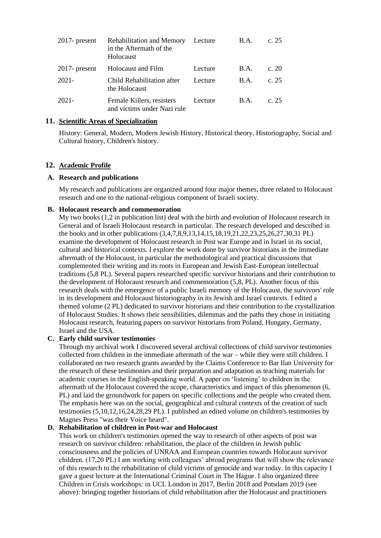| $2017$ - present | <b>Rehabilitation and Memory</b><br>in the Aftermath of the<br>Holocaust | Lecture | <b>B.A.</b>                     | c. $25$ |
|------------------|--------------------------------------------------------------------------|---------|---------------------------------|---------|
| $2017$ - present | Holocaust and Film                                                       | Lecture | $\mathbf{B} \cdot \mathbf{A}$ . | c. $20$ |
| $2021 -$         | Child Rehabilitation after<br>the Holocaust                              | Lecture | $\mathbf{B} \cdot \mathbf{A}$ . | c. 25   |
| $2021 -$         | Female Killers, resisters<br>and victims under Nazi rule                 | Lecture | <b>B.A.</b>                     | c. $25$ |

## **11. Scientific Areas of Specialization**

History: General, Modern, Modern Jewish History, Historical theory, Historiography, Social and Cultural history, Children's history.

### **12. Academic Profile**

#### **A. Research and publications**

My research and publications are organized around four major themes, three related to Holocaust research and one to the national-religious component of Israeli society.

#### **B. Holocaust research and commemoration**

My two books (1,2 in publication list) deal with the birth and evolution of Holocaust research in General and of Israeli Holocaust research in particular. The research developed and described in the books and in other publications (3,4,7,8,9,13,14,15,18,19,21,22,23,25,26,27,30,31 PL) examine the development of Holocaust research in Post war Europe and in Israel in its social, cultural and historical contexts. I explore the work done by survivor historians in the immediate aftermath of the Holocaust, in particular the methodological and practical discussions that complemented their writing and its roots in European and Jewish East-European intellectual traditions (5,8 PL). Several papers researched specific survivor historians and their contribution to the development of Holocaust research and commemoration (5,8, PL). Another focus of this research deals with the emergence of a public Israeli memory of the Holocaust, the survivors' role in its development and Holocaust historiography in its Jewish and Israel contexts. I edited a themed volume (2 PL) dedicated to survivor historians and their contribution to the crystallization of Holocaust Studies. It shows their sensibilities, dilemmas and the paths they chose in initiating Holocaust research, featuring papers on survivor historians from Poland, Hungary, Germany, Israel and the USA.

### **C. Early child survivor testimonies**

Through my archival work I discovered several archival collections of child survivor testimonies collected from children in the immediate aftermath of the war – while they were still children. I collaborated on two research grants awarded by the Claims Conference to Bar Ilan University for the research of these testimonies and their preparation and adaptation as teaching materials for academic courses in the English-speaking world. A paper on 'listening' to children in the aftermath of the Holocaust covered the scope, characteristics and impact of this phenomenon (6, PL) and laid the groundwork for papers on specific collections and the people who created them. The emphasis here was on the social, geographical and cultural contexts of the creation of such testimonies (5,10,12,16,24,28,29 PL). I published an edited volume on children's testimonies by Magnes Press "was their Voice heard".

#### **D. Rehabilitation of children in Post-war and Holocaust**

This work on children's testimonies opened the way to research of other aspects of post war research on survivor children: rehabilitation, the place of the children in Jewish public consciousness and the policies of UNRAA and European countries towards Holocaust survivor children. (17,20 PL) I am working with colleagues' abroad programs that will show the relevance of this research to the rehabilitation of child victims of genocide and war today. In this capacity I gave a guest lecture at the International Criminal Court in The Hague. I also organized three Children in Crisis workshops: in UCL London in 2017, Berlin 2018 and Potsdam 2019 (see above): bringing together historians of child rehabilitation after the Holocaust and practitioners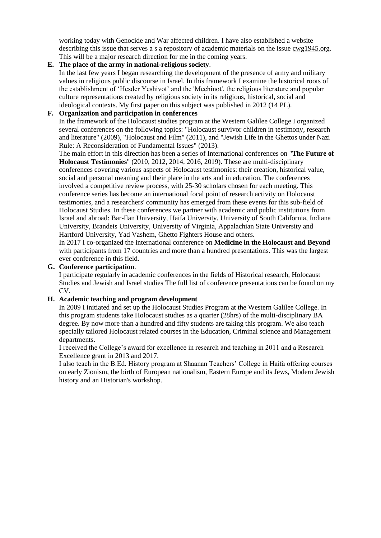working today with Genocide and War affected children. I have also established a website describing this issue that serves a s a repository of academic materials on the issue cwg1945.org. This will be a major research direction for me in the coming years.

#### **E. The place of the army in national-religious society**.

In the last few years I began researching the development of the presence of army and military values in religious public discourse in Israel. In this framework I examine the historical roots of the establishment of 'Hesder Yeshivot' and the 'Mechinot', the religious literature and popular culture representations created by religious society in its religious, historical, social and ideological contexts. My first paper on this subject was published in 2012 (14 PL).

### **F. Organization and participation in conferences**

In the framework of the Holocaust studies program at the Western Galilee College I organized several conferences on the following topics: "Holocaust survivor children in testimony, research and literature" (2009), "Holocaust and Film" (2011), and "Jewish Life in the Ghettos under Nazi Rule: A Reconsideration of Fundamental Issues" (2013).

The main effort in this direction has been a series of International conferences on "**The Future of Holocaust Testimonies**" (2010, 2012, 2014, 2016, 2019). These are multi-disciplinary conferences covering various aspects of Holocaust testimonies: their creation, historical value, social and personal meaning and their place in the arts and in education. The conferences involved a competitive review process, with 25-30 scholars chosen for each meeting. This conference series has become an international focal point of research activity on Holocaust testimonies, and a researchers' community has emerged from these events for this sub-field of Holocaust Studies. In these conferences we partner with academic and public institutions from Israel and abroad: Bar-Ilan University, Haifa University, University of South California, Indiana University, Brandeis University, University of Virginia, Appalachian State University and Hartford University, Yad Vashem, Ghetto Fighters House and others.

In 2017 I co-organized the international conference on **Medicine in the Holocaust and Beyond** with participants from 17 countries and more than a hundred presentations. This was the largest ever conference in this field.

#### **G. Conference participation**.

I participate regularly in academic conferences in the fields of Historical research, Holocaust Studies and Jewish and Israel studies The full list of conference presentations can be found on my CV.

#### **H. Academic teaching and program development**

In 2009 I initiated and set up the Holocaust Studies Program at the Western Galilee College. In this program students take Holocaust studies as a quarter (28hrs) of the multi-disciplinary BA degree. By now more than a hundred and fifty students are taking this program. We also teach specially tailored Holocaust related courses in the Education, Criminal science and Management departments.

I received the College's award for excellence in research and teaching in 2011 and a Research Excellence grant in 2013 and 2017.

I also teach in the B.Ed. History program at Shaanan Teachers' College in Haifa offering courses on early Zionism, the birth of European nationalism, Eastern Europe and its Jews, Modern Jewish history and an Historian's workshop.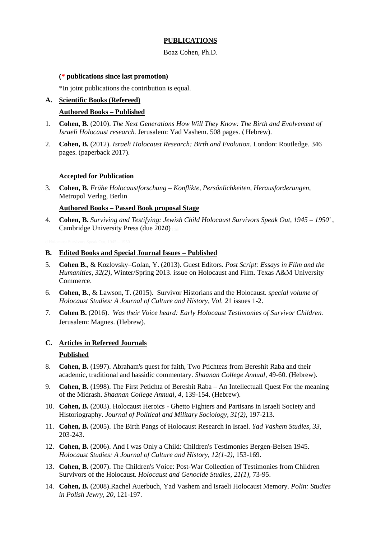### **PUBLICATIONS**

#### Boaz Cohen, Ph.D.

#### **(\* publications since last promotion)**

\*In joint publications the contribution is equal.

## **A. Scientific Books (Refereed)**

#### **Authored Books – Published**

- 1. **Cohen, B.** (2010). *The Next Generations How Will They Know: The Birth and Evolvement of Israeli Holocaust research.* Jerusalem: Yad Vashem. 508 pages. (Hebrew).
- 2. **Cohen, B.** (2012). *Israeli Holocaust Research: Birth and Evolution*. London: Routledge. 346 pages. (paperback 2017).

#### **Accepted for Publication**

3. **Cohen, B***. Frühe Holocaustforschung – Konflikte, Persönlichkeiten, Herausforderungen,*  Metropol Verlag, Berlin

#### **Authored Books – Passed Book proposal Stage**

4. **Cohen, B.** *Surviving and Testifying: Jewish Child Holocaust Survivors Speak Out, 1945 – 1950'* , Cambridge University Press (due 2020)

#### **B. Edited Books and Special Journal Issues – Published**

- 5. **Cohen B.**, & Kozlovsky–Golan, Y. (2013). Guest Editors. *Post Script: Essays in Film and the Humanities*, *32(2)*, Winter/Spring 2013. issue on Holocaust and Film. Texas A&M University Commerce.
- 6. **Cohen, B.**, & Lawson, T. (2015). Survivor Historians and the Holocaust. *special volume of Holocaust Studies: A Journal of Culture and History*, *Vol. 2*1 issues 1-2.
- 7. **Cohen B.** (2016). *Was their Voice heard: Early Holocaust Testimonies of Survivor Children.*  Jerusalem: Magnes. (Hebrew).

#### **C. Articles in Refereed Journals**

#### **Published**

- 8. **Cohen, B.** (1997). Abraham's quest for faith, Two Ptichteas from Bereshit Raba and their academic, traditional and hassidic commentary. *Shaanan College Annual*, 49-60. (Hebrew).
- 9. **Cohen, B.** (1998). The First Petichta of Bereshit Raba An Intellectuall Quest For the meaning of the Midrash. *Shaanan College Annual*, *4*, 139-154. (Hebrew).
- 10. **Cohen, B.** (2003). Holocaust Heroics Ghetto Fighters and Partisans in Israeli Society and Historiography. *Journal of Political and Military Sociology, 31(2)*, 197-213.
- 11. **Cohen, B.** (2005). The Birth Pangs of Holocaust Research in Israel*. Yad Vashem Studies, 33*, 203-243.
- 12. **Cohen, B.** (2006). And I was Only a Child: Children's Testimonies Bergen-Belsen 1945. *Holocaust Studies: A Journal of Culture and History, 12(1-2)*, 153-169.
- 13. **Cohen, B.** (2007). The Children's Voice: Post-War Collection of Testimonies from Children Survivors of the Holocaust. *Holocaust and Genocide Studies*, *21(1),* 73-95.
- 14. **Cohen, B.** (2008).Rachel Auerbuch, Yad Vashem and Israeli Holocaust Memory. *Polin: Studies in Polish Jewry, 20*, 121-197.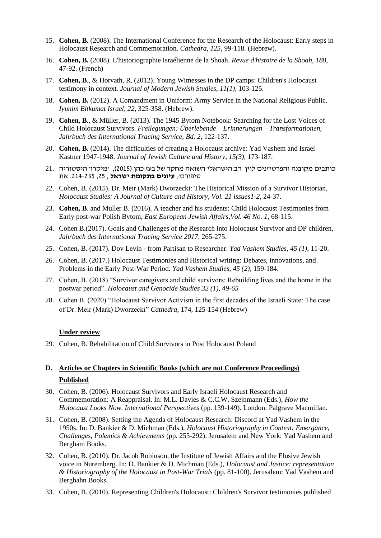- 15. **Cohen, B.** (2008). The International Conference for the Research of the Holocaust: Early steps in Holocaust Research and Commemoration. *Cathedra*, *125,* 99-118. (Hebrew).
- 16. **Cohen, B.** (2008). L'historiographie Israélienne de la Shoah. *Revue d'histoire de la Shoah, 188*, 47-92. (French)
- 17. **Cohen, B**., & Horvath, R. (2012). Young Witnesses in the DP camps: Children's Holocaust testimony in context*. Journal of Modern Jewish Studies*, *11(1)*, 103-125.
- 18. **Cohen, B.** (2012). A Comandment in Uniform: Army Service in the National Religious Public. *Iyunim Bitkumat Israel, 22*, 325-358. (Hebrew).
- 19. **Cohen, B**., & Müller, B. (2013). The 1945 Bytom Notebook: Searching for the Lost Voices of Child Holocaust Survivors. *Freilegungen: Überlebende – Erinnerungen – Transformationen, Jahrbuch des International Tracing Service, Bd. 2*, 122-137.
- 20. **Cohen, B.** (2014). The difficulties of creating a Holocaust archive: Yad Vashem and Israel Kastner 1947-1948. *Journal of Jewish Culture and History*, *15(3),* 173-187.
- כותבים מקובנה והפרטיזנים לוין דב:הישראלי השואה מחקר של בעז כהן ) 2015(, 'מיקרו־ היסטוריה 21. סיפורם', **עיונים בתקומת ישראל** , ,25 .214-235 את
- 22. Cohen, B. (2015). Dr. Meir (Mark) Dworzecki: The Historical Mission of a Survivor Historian, *Holocaust Studies: A Journal of Culture and History, Vol. 21 issues1-2*, 24-37.
- 23. **Cohen, B**. and Muller B. (2016). A teacher and his students: Child Holocaust Testimonies from Early post-war Polish Bytom, *East European Jewish Affairs*,*Vol. 46 No. 1*, 68-115.
- 24. Cohen B.(2017). Goals and Challenges of the Research into Holocaust Survivor and DP children, *Jahrbuch des International Tracing Service 2017*, 265-275.
- 25. Cohen, B. (2017). Dov Levin from Partisan to Researcher. *Yad Vashem Studies*, *45 (1)*, 11-20.
- 26. Cohen, B. (2017.) Holocaust Testimonies and Historical writing: Debates, innovations, and Problems in the Early Post-War Period. *Yad Vashem Studies*, *45 (2)*, 159-184.
- 27. Cohen, B. (2018) "Survivor caregivers and child survivors: Rebuilding lives and the home in the postwar period". *Holocaust and Genocide Studies 32 (1), 49-65*
- 28. Cohen B. (2020) "Holocaust Survivor Activism in the first decades of the Israeli State: The case of Dr. Meir (Mark) Dworzecki" *Cathedra*, 174, 125-154 (Hebrew)

#### **Under review**

29. Cohen, B. Rehabilitation of Child Survivors in Post Holocaust Poland

# **D. Articles or Chapters in Scientific Books (which are not Conference Proceedings) Published**

- 30. Cohen, B. (2006). Holocaust Survivors and Early Israeli Holocaust Research and Commemoration: A Reappraisal. In: M.L. Davies & C.C.W. Szejnmann (Eds.), *How the Holocaust Looks Now. International Perspectives* (pp. 139-149). London: Palgrave Macmillan.
- 31. Cohen, B. (2008). Setting the Agenda of Holocaust Research: Discord at Yad Vashem in the 1950s. In: D. Bankier & D. Michman (Eds.), *Holocaust Historiography in Context: Emergance, Challenges, Polemics & Achievments* (pp. 255-292). Jerusalem and New York: Yad Vashem and Bergham Books.
- 32. Cohen, B. (2010). Dr. Jacob Robinson, the Institute of Jewish Affairs and the Elusive Jewish voice in Nuremberg. In: D. Bankier & D. Michman (Eds.), *Holocaust and Justice: representation & Historiography of the Holocaust in Post-War Trials* (pp. 81-100). Jerusalem: Yad Vashem and Berghahn Books.
- 33. Cohen, B. (2010). Representing Children's Holocaust: Children's Survivor testimonies published